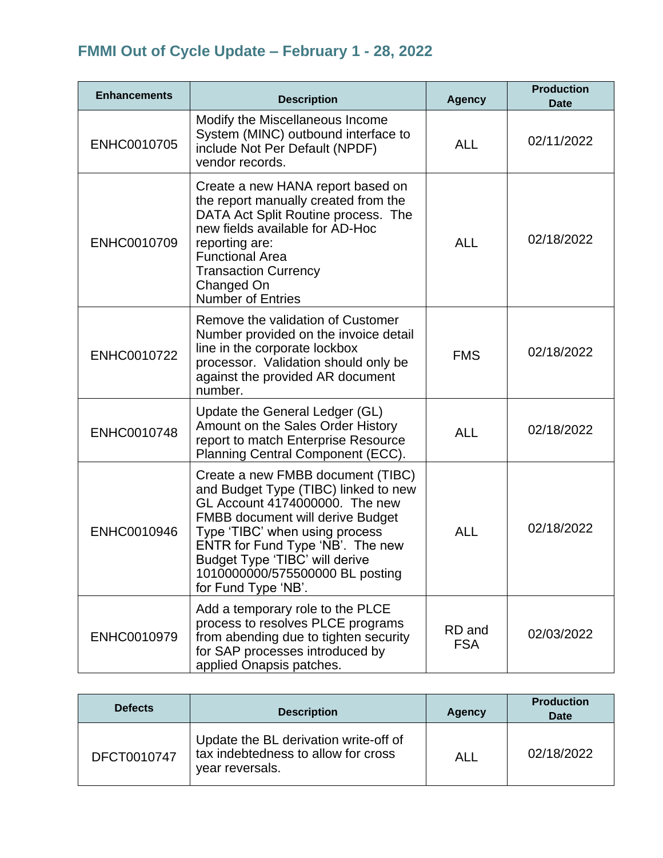## **FMMI Out of Cycle Update – February 1 - 28, 2022**

| <b>Enhancements</b> | <b>Description</b>                                                                                                                                                                                                                                                                                                       | <b>Agency</b>        | <b>Production</b><br><b>Date</b> |
|---------------------|--------------------------------------------------------------------------------------------------------------------------------------------------------------------------------------------------------------------------------------------------------------------------------------------------------------------------|----------------------|----------------------------------|
| ENHC0010705         | Modify the Miscellaneous Income<br>System (MINC) outbound interface to<br>include Not Per Default (NPDF)<br>vendor records.                                                                                                                                                                                              | <b>ALL</b>           | 02/11/2022                       |
| ENHC0010709         | Create a new HANA report based on<br>the report manually created from the<br>DATA Act Split Routine process. The<br>new fields available for AD-Hoc<br>reporting are:<br><b>Functional Area</b><br><b>Transaction Currency</b><br>Changed On<br><b>Number of Entries</b>                                                 | <b>ALL</b>           | 02/18/2022                       |
| ENHC0010722         | Remove the validation of Customer<br>Number provided on the invoice detail<br>line in the corporate lockbox<br>processor. Validation should only be<br>against the provided AR document<br>number.                                                                                                                       | <b>FMS</b>           | 02/18/2022                       |
| ENHC0010748         | Update the General Ledger (GL)<br>Amount on the Sales Order History<br>report to match Enterprise Resource<br>Planning Central Component (ECC).                                                                                                                                                                          | <b>ALL</b>           | 02/18/2022                       |
| ENHC0010946         | Create a new FMBB document (TIBC)<br>and Budget Type (TIBC) linked to new<br>GL Account 4174000000. The new<br><b>FMBB document will derive Budget</b><br>Type 'TIBC' when using process<br>ENTR for Fund Type 'NB'. The new<br>Budget Type 'TIBC' will derive<br>1010000000/575500000 BL posting<br>for Fund Type 'NB'. | <b>ALL</b>           | 02/18/2022                       |
| ENHC0010979         | Add a temporary role to the PLCE<br>process to resolves PLCE programs<br>from abending due to tighten security<br>for SAP processes introduced by<br>applied Onapsis patches.                                                                                                                                            | RD and<br><b>FSA</b> | 02/03/2022                       |

| <b>Defects</b> | <b>Description</b>                                                                              | Agency | <b>Production</b><br><b>Date</b> |
|----------------|-------------------------------------------------------------------------------------------------|--------|----------------------------------|
| DFCT0010747    | Update the BL derivation write-off of<br>tax indebtedness to allow for cross<br>year reversals. | ALL    | 02/18/2022                       |